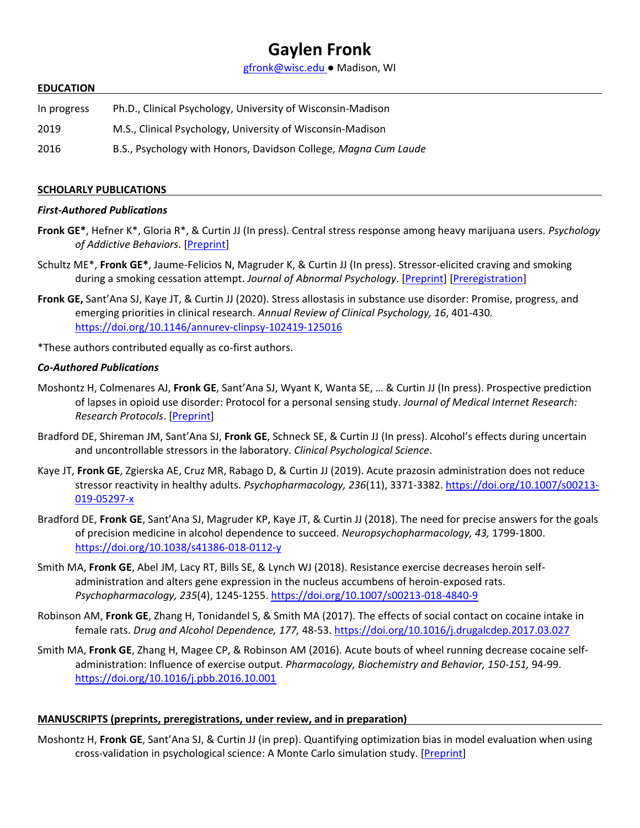# **Gaylen Fronk**

[gfronk@wisc.edu](mailto:gfronk@wisc.edu) ● Madison, WI

#### **EDUCATION**

| In progress | Ph.D., Clinical Psychology, University of Wisconsin-Madison     |
|-------------|-----------------------------------------------------------------|
| 2019        | M.S., Clinical Psychology, University of Wisconsin-Madison      |
| 2016        | B.S., Psychology with Honors, Davidson College, Magna Cum Laude |

#### **SCHOLARLY PUBLICATIONS**

#### *First-Authored Publications*

- **Fronk GE\***, Hefner K\*, Gloria R\*, & Curtin JJ (In press). Central stress response among heavy marijuana users. *Psychology of Addictive Behaviors*. [\[Preprint\]](https://psyarxiv.com/4mja6/)
- Schultz ME\*, **Fronk GE\***, Jaume-Felicios N, Magruder K, & Curtin JJ (In press). Stressor-elicited craving and smoking during a smoking cessation attempt. *Journal of Abnormal Psychology*. [\[Preprint\]](https://psyarxiv.com/h2cbe/) [\[Preregistration\]](https://osf.io/y6d5k)
- **Fronk GE,** Sant'Ana SJ, Kaye JT, & Curtin JJ (2020). Stress allostasis in substance use disorder: Promise, progress, and emerging priorities in clinical research. *Annual Review of Clinical Psychology, 16*, 401-430*.* <https://doi.org/10.1146/annurev-clinpsy-102419-125016>
- \*These authors contributed equally as co-first authors.

#### *Co-Authored Publications*

- Moshontz H, Colmenares AJ, **Fronk GE**, Sant'Ana SJ, Wyant K, Wanta SE, … & Curtin JJ (In press). Prospective prediction of lapses in opioid use disorder: Protocol for a personal sensing study. *Journal of Medical Internet Research: Research Protocols*. [\[Preprint\]](https://psyarxiv.com/nvwjt)
- Bradford DE, Shireman JM, Sant'Ana SJ, **Fronk GE**, Schneck SE, & Curtin JJ (In press). Alcohol's effects during uncertain and uncontrollable stressors in the laboratory. *Clinical Psychological Science*.
- Kaye JT, **Fronk GE**, Zgierska AE, Cruz MR, Rabago D, & Curtin JJ (2019). Acute prazosin administration does not reduce stressor reactivity in healthy adults. *Psychopharmacology, 236*(11), 3371-3382. [https://doi.org/10.1007/s00213-](https://doi.org/10.1007/s00213-019-05297-x) [019-05297-x](https://doi.org/10.1007/s00213-019-05297-x)
- Bradford DE, **Fronk GE**, Sant'Ana SJ, Magruder KP, Kaye JT, & Curtin JJ (2018). The need for precise answers for the goals of precision medicine in alcohol dependence to succeed. *Neuropsychopharmacology, 43,* 1799-1800. <https://doi.org/10.1038/s41386-018-0112-y>
- Smith MA, **Fronk GE**, Abel JM, Lacy RT, Bills SE, & Lynch WJ (2018). Resistance exercise decreases heroin selfadministration and alters gene expression in the nucleus accumbens of heroin-exposed rats. *Psychopharmacology, 235*(4), 1245-1255[. https://doi.org/10.1007/s00213-018-4840-9](https://doi.org/10.1007/s00213-018-4840-9)
- Robinson AM, **Fronk GE**, Zhang H, Tonidandel S, & Smith MA (2017). The effects of social contact on cocaine intake in female rats. *Drug and Alcohol Dependence, 177,* 48-53.<https://doi.org/10.1016/j.drugalcdep.2017.03.027>
- Smith MA, **Fronk GE**, Zhang H, Magee CP, & Robinson AM (2016)*.* Acute bouts of wheel running decrease cocaine selfadministration: Influence of exercise output. *Pharmacology, Biochemistry and Behavior, 150-151,* 94-99. <https://doi.org/10.1016/j.pbb.2016.10.001>

#### **MANUSCRIPTS (preprints, preregistrations, under review, and in preparation)**

Moshontz H, **Fronk GE**, Sant'Ana SJ, & Curtin JJ (in prep). Quantifying optimization bias in model evaluation when using cross-validation in psychological science: A Monte Carlo simulation study. [\[Preprint\]](https://psyarxiv.com/ns9mj/)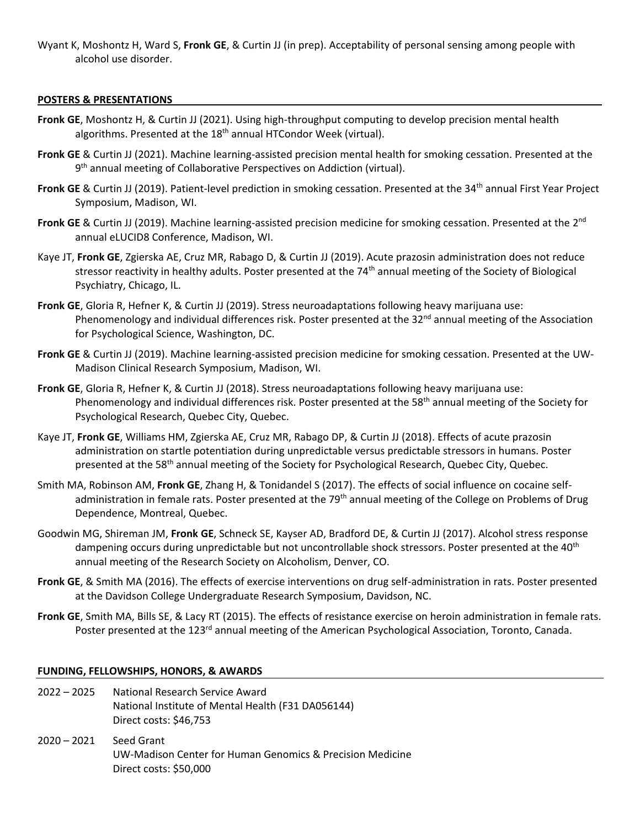Wyant K, Moshontz H, Ward S, **Fronk GE**, & Curtin JJ (in prep). Acceptability of personal sensing among people with alcohol use disorder.

## **POSTERS & PRESENTATIONS**

- **Fronk GE**, Moshontz H, & Curtin JJ (2021). Using high-throughput computing to develop precision mental health algorithms. Presented at the  $18<sup>th</sup>$  annual HTCondor Week (virtual).
- **Fronk GE** & Curtin JJ (2021). Machine learning-assisted precision mental health for smoking cessation. Presented at the 9<sup>th</sup> annual meeting of Collaborative Perspectives on Addiction (virtual).
- **Fronk GE** & Curtin JJ (2019). Patient-level prediction in smoking cessation. Presented at the 34<sup>th</sup> annual First Year Project Symposium, Madison, WI.
- **Fronk GE** & Curtin JJ (2019). Machine learning-assisted precision medicine for smoking cessation. Presented at the 2<sup>nd</sup> annual eLUCID8 Conference, Madison, WI.
- Kaye JT, **Fronk GE**, Zgierska AE, Cruz MR, Rabago D, & Curtin JJ (2019). Acute prazosin administration does not reduce stressor reactivity in healthy adults. Poster presented at the 74<sup>th</sup> annual meeting of the Society of Biological Psychiatry, Chicago, IL.
- **Fronk GE**, Gloria R, Hefner K, & Curtin JJ (2019). Stress neuroadaptations following heavy marijuana use: Phenomenology and individual differences risk. Poster presented at the 32<sup>nd</sup> annual meeting of the Association for Psychological Science, Washington, DC.
- **Fronk GE** & Curtin JJ (2019). Machine learning-assisted precision medicine for smoking cessation. Presented at the UW-Madison Clinical Research Symposium, Madison, WI.
- **Fronk GE**, Gloria R, Hefner K, & Curtin JJ (2018). Stress neuroadaptations following heavy marijuana use: Phenomenology and individual differences risk. Poster presented at the 58<sup>th</sup> annual meeting of the Society for Psychological Research, Quebec City, Quebec.
- Kaye JT, **Fronk GE**, Williams HM, Zgierska AE, Cruz MR, Rabago DP, & Curtin JJ (2018). Effects of acute prazosin administration on startle potentiation during unpredictable versus predictable stressors in humans. Poster presented at the 58<sup>th</sup> annual meeting of the Society for Psychological Research, Quebec City, Quebec.
- Smith MA, Robinson AM, **Fronk GE**, Zhang H, & Tonidandel S (2017). The effects of social influence on cocaine selfadministration in female rats. Poster presented at the 79<sup>th</sup> annual meeting of the College on Problems of Drug Dependence, Montreal, Quebec.
- Goodwin MG, Shireman JM, **Fronk GE**, Schneck SE, Kayser AD, Bradford DE, & Curtin JJ (2017). Alcohol stress response dampening occurs during unpredictable but not uncontrollable shock stressors. Poster presented at the 40<sup>th</sup> annual meeting of the Research Society on Alcoholism, Denver, CO.
- **Fronk GE**, & Smith MA (2016). The effects of exercise interventions on drug self-administration in rats. Poster presented at the Davidson College Undergraduate Research Symposium, Davidson, NC.
- **Fronk GE**, Smith MA, Bills SE, & Lacy RT (2015). The effects of resistance exercise on heroin administration in female rats. Poster presented at the 123<sup>rd</sup> annual meeting of the American Psychological Association, Toronto, Canada.

#### **FUNDING, FELLOWSHIPS, HONORS, & AWARDS**

- 2022 2025 National Research Service Award National Institute of Mental Health (F31 DA056144) Direct costs: \$46,753
- 2020 2021 Seed Grant UW-Madison Center for Human Genomics & Precision Medicine Direct costs: \$50,000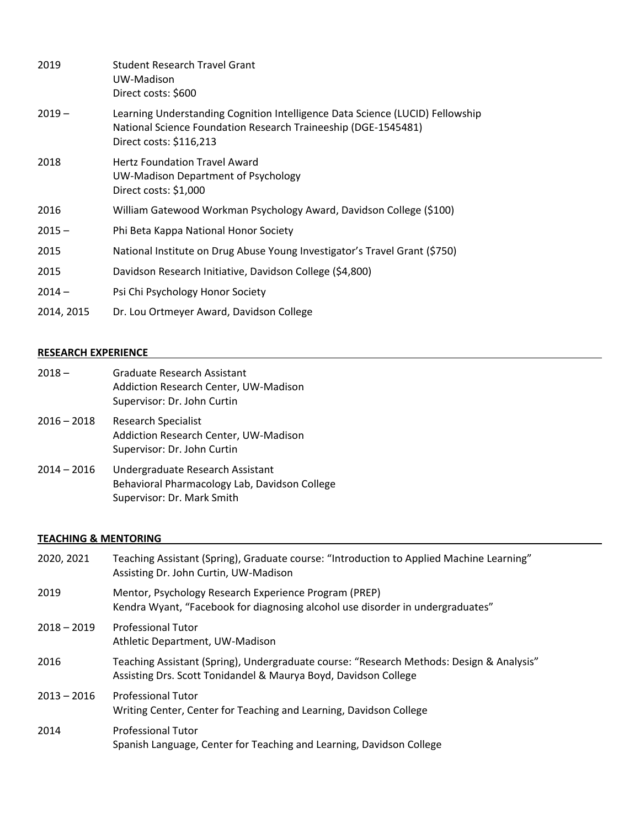| 2019       | Student Research Travel Grant<br>UW-Madison<br>Direct costs: \$600                                                                                                         |
|------------|----------------------------------------------------------------------------------------------------------------------------------------------------------------------------|
| $2019 -$   | Learning Understanding Cognition Intelligence Data Science (LUCID) Fellowship<br>National Science Foundation Research Traineeship (DGE-1545481)<br>Direct costs: \$116,213 |
| 2018       | <b>Hertz Foundation Travel Award</b><br>UW-Madison Department of Psychology<br>Direct costs: \$1,000                                                                       |
| 2016       | William Gatewood Workman Psychology Award, Davidson College (\$100)                                                                                                        |
| $2015 -$   | Phi Beta Kappa National Honor Society                                                                                                                                      |
| 2015       | National Institute on Drug Abuse Young Investigator's Travel Grant (\$750)                                                                                                 |
| 2015       | Davidson Research Initiative, Davidson College (\$4,800)                                                                                                                   |
| $2014 -$   | Psi Chi Psychology Honor Society                                                                                                                                           |
| 2014, 2015 | Dr. Lou Ortmeyer Award, Davidson College                                                                                                                                   |

# **RESEARCH EXPERIENCE**

| $2018 -$      | Graduate Research Assistant<br><b>Addiction Research Center, UW-Madison</b><br>Supervisor: Dr. John Curtin      |
|---------------|-----------------------------------------------------------------------------------------------------------------|
| $2016 - 2018$ | Research Specialist<br>Addiction Research Center, UW-Madison<br>Supervisor: Dr. John Curtin                     |
| $2014 - 2016$ | Undergraduate Research Assistant<br>Behavioral Pharmacology Lab, Davidson College<br>Supervisor: Dr. Mark Smith |

# **TEACHING & MENTORING**

| 2020, 2021    | Teaching Assistant (Spring), Graduate course: "Introduction to Applied Machine Learning"<br>Assisting Dr. John Curtin, UW-Madison                           |
|---------------|-------------------------------------------------------------------------------------------------------------------------------------------------------------|
| 2019          | Mentor, Psychology Research Experience Program (PREP)<br>Kendra Wyant, "Facebook for diagnosing alcohol use disorder in undergraduates"                     |
| $2018 - 2019$ | <b>Professional Tutor</b><br>Athletic Department, UW-Madison                                                                                                |
| 2016          | Teaching Assistant (Spring), Undergraduate course: "Research Methods: Design & Analysis"<br>Assisting Drs. Scott Tonidandel & Maurya Boyd, Davidson College |
| $2013 - 2016$ | <b>Professional Tutor</b><br>Writing Center, Center for Teaching and Learning, Davidson College                                                             |
| 2014          | <b>Professional Tutor</b><br>Spanish Language, Center for Teaching and Learning, Davidson College                                                           |